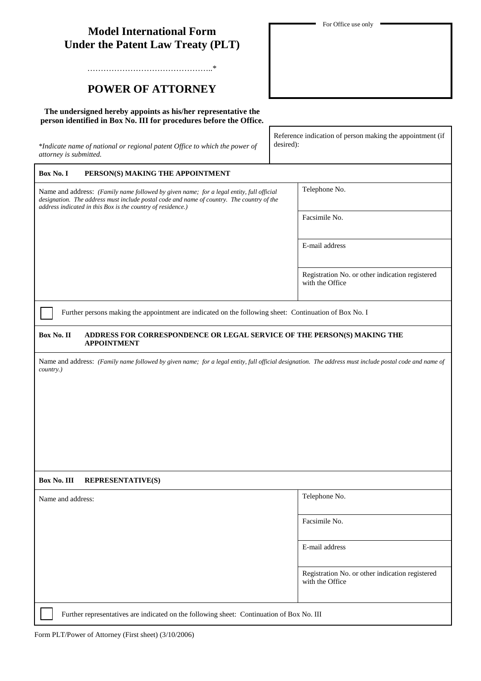| <b>Under the Patent Law Treaty (PLT)</b>                                                                                                                                                                                                             |                                                                        |
|------------------------------------------------------------------------------------------------------------------------------------------------------------------------------------------------------------------------------------------------------|------------------------------------------------------------------------|
|                                                                                                                                                                                                                                                      |                                                                        |
|                                                                                                                                                                                                                                                      |                                                                        |
| <b>POWER OF ATTORNEY</b>                                                                                                                                                                                                                             |                                                                        |
| The undersigned hereby appoints as his/her representative the<br>person identified in Box No. III for procedures before the Office.                                                                                                                  |                                                                        |
| *Indicate name of national or regional patent Office to which the power of<br>attorney is submitted.                                                                                                                                                 | Reference indication of person making the appointment (if<br>desired): |
| Box No. I<br>PERSON(S) MAKING THE APPOINTMENT                                                                                                                                                                                                        |                                                                        |
| Name and address: (Family name followed by given name; for a legal entity, full official<br>designation. The address must include postal code and name of country. The country of the<br>address indicated in this Box is the country of residence.) | Telephone No.                                                          |
|                                                                                                                                                                                                                                                      | Facsimile No.                                                          |
|                                                                                                                                                                                                                                                      | E-mail address                                                         |
|                                                                                                                                                                                                                                                      | Registration No. or other indication registered<br>with the Office     |
| Further persons making the appointment are indicated on the following sheet: Continuation of Box No. I                                                                                                                                               |                                                                        |
| Box No. II<br>ADDRESS FOR CORRESPONDENCE OR LEGAL SERVICE OF THE PERSON(S) MAKING THE                                                                                                                                                                |                                                                        |
| <b>APPOINTMENT</b>                                                                                                                                                                                                                                   |                                                                        |
| Name and address: (Family name followed by given name; for a legal entity, full official designation. The address must include postal code and name of<br>country.)                                                                                  |                                                                        |
|                                                                                                                                                                                                                                                      |                                                                        |
|                                                                                                                                                                                                                                                      |                                                                        |
|                                                                                                                                                                                                                                                      |                                                                        |
|                                                                                                                                                                                                                                                      |                                                                        |
|                                                                                                                                                                                                                                                      |                                                                        |
| Box No. III<br><b>REPRESENTATIVE(S)</b>                                                                                                                                                                                                              |                                                                        |
| Name and address:                                                                                                                                                                                                                                    | Telephone No.                                                          |
|                                                                                                                                                                                                                                                      | Facsimile No.                                                          |
|                                                                                                                                                                                                                                                      | E-mail address                                                         |
|                                                                                                                                                                                                                                                      | Registration No. or other indication registered<br>with the Office     |

For Office use only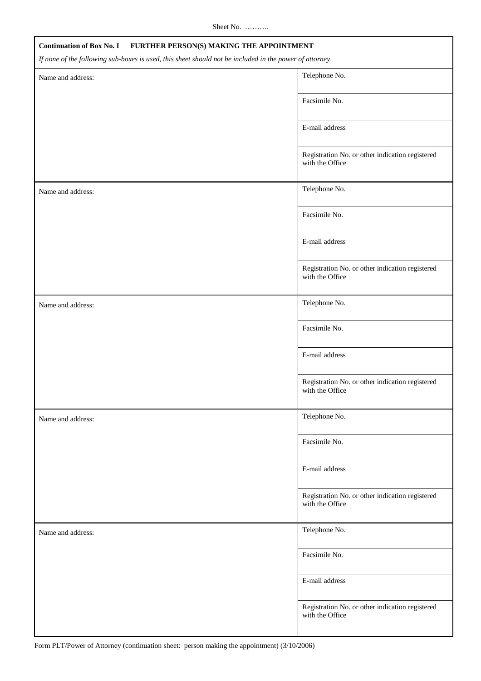Sheet No. ……….

| <b>Continuation of Box No. I</b><br>FURTHER PERSON(S) MAKING THE APPOINTMENT                            |                                                                    |  |
|---------------------------------------------------------------------------------------------------------|--------------------------------------------------------------------|--|
| If none of the following sub-boxes is used, this sheet should not be included in the power of attorney. |                                                                    |  |
| Name and address:                                                                                       | Telephone No.                                                      |  |
|                                                                                                         | Facsimile No.                                                      |  |
|                                                                                                         | E-mail address                                                     |  |
|                                                                                                         | Registration No. or other indication registered<br>with the Office |  |
| Name and address:                                                                                       | Telephone No.                                                      |  |
|                                                                                                         | Facsimile No.                                                      |  |
|                                                                                                         | E-mail address                                                     |  |
|                                                                                                         | Registration No. or other indication registered<br>with the Office |  |
| Name and address:                                                                                       | Telephone No.                                                      |  |
|                                                                                                         | Facsimile No.                                                      |  |
|                                                                                                         | E-mail address                                                     |  |
|                                                                                                         | Registration No. or other indication registered<br>with the Office |  |
| Name and address:                                                                                       | Telephone No.                                                      |  |
|                                                                                                         | Facsimile No.                                                      |  |
|                                                                                                         | E-mail address                                                     |  |
|                                                                                                         | Registration No. or other indication registered<br>with the Office |  |
| Name and address:                                                                                       | Telephone No.                                                      |  |
|                                                                                                         | Facsimile No.                                                      |  |
|                                                                                                         | E-mail address                                                     |  |
|                                                                                                         | Registration No. or other indication registered<br>with the Office |  |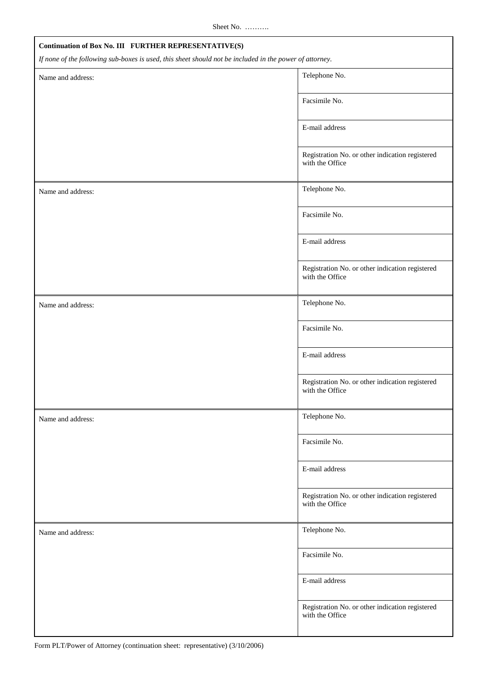| Continuation of Box No. III FURTHER REPRESENTATIVE(S)                                                   |                                                                    |  |  |  |
|---------------------------------------------------------------------------------------------------------|--------------------------------------------------------------------|--|--|--|
| If none of the following sub-boxes is used, this sheet should not be included in the power of attorney. |                                                                    |  |  |  |
| Name and address:                                                                                       | Telephone No.                                                      |  |  |  |
|                                                                                                         | Facsimile No.                                                      |  |  |  |
|                                                                                                         | E-mail address                                                     |  |  |  |
|                                                                                                         | Registration No. or other indication registered<br>with the Office |  |  |  |
| Name and address:                                                                                       | Telephone No.                                                      |  |  |  |
|                                                                                                         | Facsimile No.                                                      |  |  |  |
|                                                                                                         | E-mail address                                                     |  |  |  |
|                                                                                                         | Registration No. or other indication registered<br>with the Office |  |  |  |
| Name and address:                                                                                       | Telephone No.                                                      |  |  |  |
|                                                                                                         | Facsimile No.                                                      |  |  |  |
|                                                                                                         | E-mail address                                                     |  |  |  |
|                                                                                                         | Registration No. or other indication registered<br>with the Office |  |  |  |
| Name and address:                                                                                       | Telephone No.                                                      |  |  |  |
|                                                                                                         | Facsimile No.                                                      |  |  |  |
|                                                                                                         | E-mail address                                                     |  |  |  |
|                                                                                                         | Registration No. or other indication registered<br>with the Office |  |  |  |
| Name and address:                                                                                       | Telephone No.                                                      |  |  |  |
|                                                                                                         | Facsimile No.                                                      |  |  |  |
|                                                                                                         | E-mail address                                                     |  |  |  |
|                                                                                                         | Registration No. or other indication registered<br>with the Office |  |  |  |